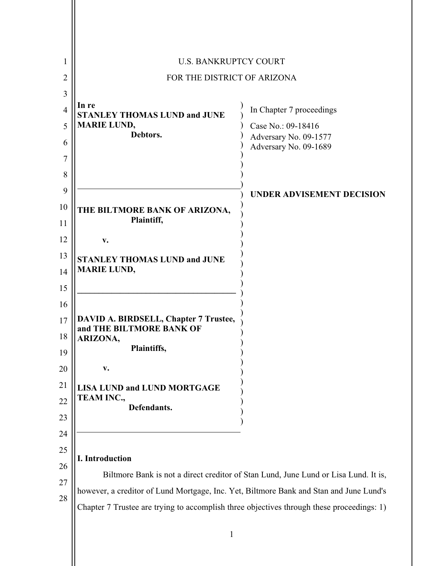| 1              | <b>U.S. BANKRUPTCY COURT</b>                                                                                                                                                        |                                                |
|----------------|-------------------------------------------------------------------------------------------------------------------------------------------------------------------------------------|------------------------------------------------|
| 2              | FOR THE DISTRICT OF ARIZONA                                                                                                                                                         |                                                |
| 3              |                                                                                                                                                                                     |                                                |
| $\overline{4}$ | In re<br><b>STANLEY THOMAS LUND and JUNE</b>                                                                                                                                        | In Chapter 7 proceedings                       |
| 5              | <b>MARIE LUND,</b><br>Debtors.                                                                                                                                                      | Case No.: 09-18416                             |
| 6              |                                                                                                                                                                                     | Adversary No. 09-1577<br>Adversary No. 09-1689 |
| 7              |                                                                                                                                                                                     |                                                |
| 8              |                                                                                                                                                                                     |                                                |
| 9              |                                                                                                                                                                                     | <b>UNDER ADVISEMENT DECISION</b>               |
| 10             | THE BILTMORE BANK OF ARIZONA,<br>Plaintiff,                                                                                                                                         |                                                |
| 11             |                                                                                                                                                                                     |                                                |
| 12             | v.                                                                                                                                                                                  |                                                |
| 13             | <b>STANLEY THOMAS LUND and JUNE</b><br><b>MARIE LUND,</b>                                                                                                                           |                                                |
| 14             |                                                                                                                                                                                     |                                                |
| 15             |                                                                                                                                                                                     |                                                |
| 16             |                                                                                                                                                                                     |                                                |
| 17             | DAVID A. BIRDSELL, Chapter 7 Trustee,                                                                                                                                               |                                                |
| 18             | and THE BILTMORE BANK OF<br>ARIZONA,                                                                                                                                                |                                                |
| 19             | Plaintiffs,                                                                                                                                                                         |                                                |
| 20             | V.                                                                                                                                                                                  |                                                |
| 21             | <b>LISA LUND and LUND MORTGAGE</b>                                                                                                                                                  |                                                |
| 22             | TEAM INC.,<br>Defendants.                                                                                                                                                           |                                                |
| 23             |                                                                                                                                                                                     |                                                |
| 24             |                                                                                                                                                                                     |                                                |
| 25             |                                                                                                                                                                                     |                                                |
| 26             | I. Introduction                                                                                                                                                                     |                                                |
| 27             | Biltmore Bank is not a direct creditor of Stan Lund, June Lund or Lisa Lund. It is,                                                                                                 |                                                |
| 28             | however, a creditor of Lund Mortgage, Inc. Yet, Biltmore Bank and Stan and June Lund's<br>Chapter 7 Trustee are trying to accomplish three objectives through these proceedings: 1) |                                                |
|                |                                                                                                                                                                                     |                                                |
|                |                                                                                                                                                                                     |                                                |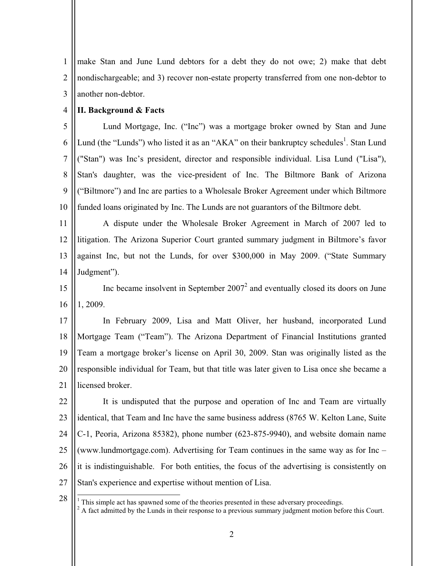1  $\overline{2}$ 3 make Stan and June Lund debtors for a debt they do not owe; 2) make that debt nondischargeable; and 3) recover non-estate property transferred from one non-debtor to another non-debtor.

#### 4 **II. Background & Facts**

L

5 6 7 8 9 10 Lund Mortgage, Inc. ("Inc") was a mortgage broker owned by Stan and June Lund (the "Lunds") who listed it as an "AKA" on their bankruptcy schedules<sup>1</sup>. Stan Lund ("Stan") was Inc's president, director and responsible individual. Lisa Lund ("Lisa"), Stan's daughter, was the vice-president of Inc. The Biltmore Bank of Arizona ("Biltmore") and Inc are parties to a Wholesale Broker Agreement under which Biltmore funded loans originated by Inc. The Lunds are not guarantors of the Biltmore debt.

11 12 13 14 A dispute under the Wholesale Broker Agreement in March of 2007 led to litigation. The Arizona Superior Court granted summary judgment in Biltmore's favor against Inc, but not the Lunds, for over \$300,000 in May 2009. ("State Summary Judgment").

15 16 Inc became insolvent in September  $2007<sup>2</sup>$  and eventually closed its doors on June 1, 2009.

17 18 19 20 21 In February 2009, Lisa and Matt Oliver, her husband, incorporated Lund Mortgage Team ("Team"). The Arizona Department of Financial Institutions granted Team a mortgage broker's license on April 30, 2009. Stan was originally listed as the responsible individual for Team, but that title was later given to Lisa once she became a licensed broker.

22 23 24 25 26 27 It is undisputed that the purpose and operation of Inc and Team are virtually identical, that Team and Inc have the same business address (8765 W. Kelton Lane, Suite C-1, Peoria, Arizona 85382), phone number (623-875-9940), and website domain name (www.lundmortgage.com). Advertising for Team continues in the same way as for Inc – it is indistinguishable. For both entities, the focus of the advertising is consistently on Stan's experience and expertise without mention of Lisa.

<sup>28</sup>  $<sup>1</sup>$  This simple act has spawned some of the theories presented in these adversary proceedings.</sup>  $2^2$  A fact admitted by the Lunds in their response to a previous summary judgment motion before this Court.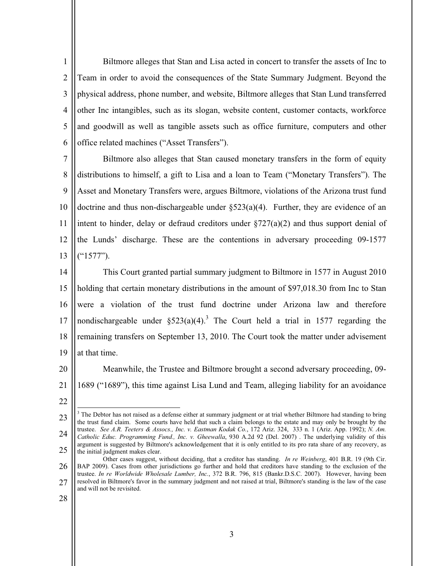1  $\overline{2}$ 3 4 5 6 Biltmore alleges that Stan and Lisa acted in concert to transfer the assets of Inc to Team in order to avoid the consequences of the State Summary Judgment. Beyond the physical address, phone number, and website, Biltmore alleges that Stan Lund transferred other Inc intangibles, such as its slogan, website content, customer contacts, workforce and goodwill as well as tangible assets such as office furniture, computers and other office related machines ("Asset Transfers").

7 8 9 10 11 12 13 Biltmore also alleges that Stan caused monetary transfers in the form of equity distributions to himself, a gift to Lisa and a loan to Team ("Monetary Transfers"). The Asset and Monetary Transfers were, argues Biltmore, violations of the Arizona trust fund doctrine and thus non-dischargeable under  $\S 523(a)(4)$ . Further, they are evidence of an intent to hinder, delay or defraud creditors under  $\S 727(a)(2)$  and thus support denial of the Lunds' discharge. These are the contentions in adversary proceeding 09-1577 ("1577").

14 15 16 17 18 19 This Court granted partial summary judgment to Biltmore in 1577 in August 2010 holding that certain monetary distributions in the amount of \$97,018.30 from Inc to Stan were a violation of the trust fund doctrine under Arizona law and therefore nondischargeable under  $\S 523(a)(4)$ .<sup>3</sup> The Court held a trial in 1577 regarding the remaining transfers on September 13, 2010. The Court took the matter under advisement at that time.

20

21 Meanwhile, the Trustee and Biltmore brought a second adversary proceeding, 09- 1689 ("1689"), this time against Lisa Lund and Team, alleging liability for an avoidance

22

 $\overline{a}$ 

<sup>23</sup> 24 25  $3$  The Debtor has not raised as a defense either at summary judgment or at trial whether Biltmore had standing to bring the trust fund claim. Some courts have held that such a claim belongs to the estate and may only be brought by the trustee. *See A.R. Teeters & Assocs., Inc. v. Eastman Kodak Co.*, 172 Ariz. 324, 333 n. 1 (Ariz. App. 1992); *N. Am. Catholic Educ. Programming Fund., Inc. v. Gheewalla*, 930 A.2d 92 (Del. 2007) . The underlying validity of this argument is suggested by Biltmore's acknowledgement that it is only entitled to its pro rata share of any recovery, as the initial judgment makes clear.

<sup>26</sup> 27 Other cases suggest, without deciding, that a creditor has standing. *In re Weinberg*, 401 B.R. 19 (9th Cir. BAP 2009). Cases from other jurisdictions go further and hold that creditors have standing to the exclusion of the trustee. *In re Worldwide Wholesale Lumber, Inc.*, 372 B.R. 796, 815 (Bankr.D.S.C. 2007). However, having been resolved in Biltmore's favor in the summary judgment and not raised at trial, Biltmore's standing is the law of the case and will not be revisited.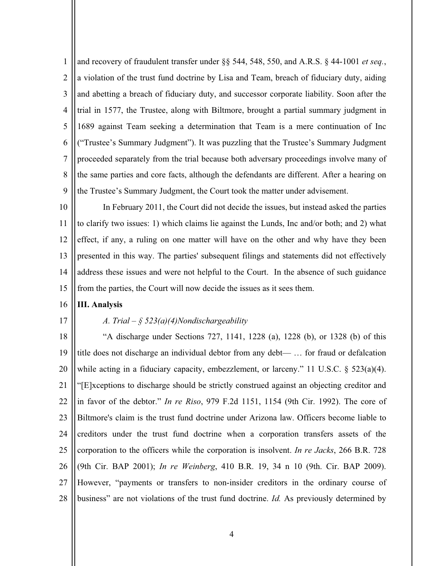1 2 3 4 5 6 7 8 9 and recovery of fraudulent transfer under §§ 544, 548, 550, and A.R.S. § 44-1001 *et seq.*, a violation of the trust fund doctrine by Lisa and Team, breach of fiduciary duty, aiding and abetting a breach of fiduciary duty, and successor corporate liability. Soon after the trial in 1577, the Trustee, along with Biltmore, brought a partial summary judgment in 1689 against Team seeking a determination that Team is a mere continuation of Inc ("Trustee's Summary Judgment"). It was puzzling that the Trustee's Summary Judgment proceeded separately from the trial because both adversary proceedings involve many of the same parties and core facts, although the defendants are different. After a hearing on the Trustee's Summary Judgment, the Court took the matter under advisement.

10 11 12 13 14 15 In February 2011, the Court did not decide the issues, but instead asked the parties to clarify two issues: 1) which claims lie against the Lunds, Inc and/or both; and 2) what effect, if any, a ruling on one matter will have on the other and why have they been presented in this way. The parties' subsequent filings and statements did not effectively address these issues and were not helpful to the Court. In the absence of such guidance from the parties, the Court will now decide the issues as it sees them.

#### 16 **III. Analysis**

17

## *A. Trial – § 523(a)(4)Nondischargeability*

18 19 20 21 22 23 24 25 26 27 28 "A discharge under Sections 727, 1141, 1228 (a), 1228 (b), or 1328 (b) of this title does not discharge an individual debtor from any debt— … for fraud or defalcation while acting in a fiduciary capacity, embezzlement, or larceny." 11 U.S.C. § 523(a)(4). "[E]xceptions to discharge should be strictly construed against an objecting creditor and in favor of the debtor." *In re Riso*, 979 F.2d 1151, 1154 (9th Cir. 1992). The core of Biltmore's claim is the trust fund doctrine under Arizona law. Officers become liable to creditors under the trust fund doctrine when a corporation transfers assets of the corporation to the officers while the corporation is insolvent. *In re Jacks*, 266 B.R. 728 (9th Cir. BAP 2001); *In re Weinberg*, 410 B.R. 19, 34 n 10 (9th. Cir. BAP 2009). However, "payments or transfers to non-insider creditors in the ordinary course of business" are not violations of the trust fund doctrine. *Id.* As previously determined by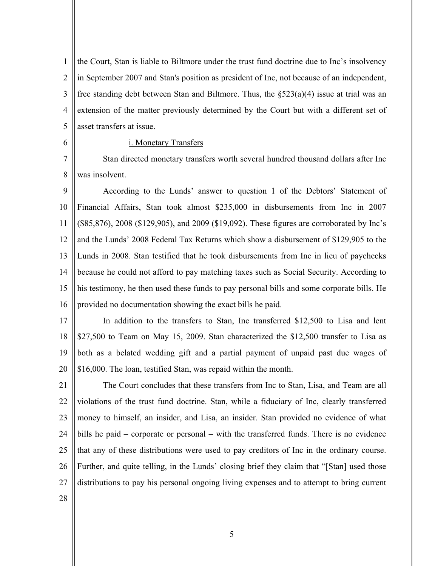1  $\overline{2}$ 3 4 5 the Court, Stan is liable to Biltmore under the trust fund doctrine due to Inc's insolvency in September 2007 and Stan's position as president of Inc, not because of an independent, free standing debt between Stan and Biltmore. Thus, the §523(a)(4) issue at trial was an extension of the matter previously determined by the Court but with a different set of asset transfers at issue.

### i. Monetary Transfers

7 8 Stan directed monetary transfers worth several hundred thousand dollars after Inc was insolvent.

9 10 11 12 13 14 15 16 According to the Lunds' answer to question 1 of the Debtors' Statement of Financial Affairs, Stan took almost \$235,000 in disbursements from Inc in 2007 (\$85,876), 2008 (\$129,905), and 2009 (\$19,092). These figures are corroborated by Inc's and the Lunds' 2008 Federal Tax Returns which show a disbursement of \$129,905 to the Lunds in 2008. Stan testified that he took disbursements from Inc in lieu of paychecks because he could not afford to pay matching taxes such as Social Security. According to his testimony, he then used these funds to pay personal bills and some corporate bills. He provided no documentation showing the exact bills he paid.

17 18 19 20 In addition to the transfers to Stan, Inc transferred \$12,500 to Lisa and lent \$27,500 to Team on May 15, 2009. Stan characterized the \$12,500 transfer to Lisa as both as a belated wedding gift and a partial payment of unpaid past due wages of \$16,000. The loan, testified Stan, was repaid within the month.

21 22 23 24 25 26 27 The Court concludes that these transfers from Inc to Stan, Lisa, and Team are all violations of the trust fund doctrine. Stan, while a fiduciary of Inc, clearly transferred money to himself, an insider, and Lisa, an insider. Stan provided no evidence of what bills he paid – corporate or personal – with the transferred funds. There is no evidence that any of these distributions were used to pay creditors of Inc in the ordinary course. Further, and quite telling, in the Lunds' closing brief they claim that "[Stan] used those distributions to pay his personal ongoing living expenses and to attempt to bring current

28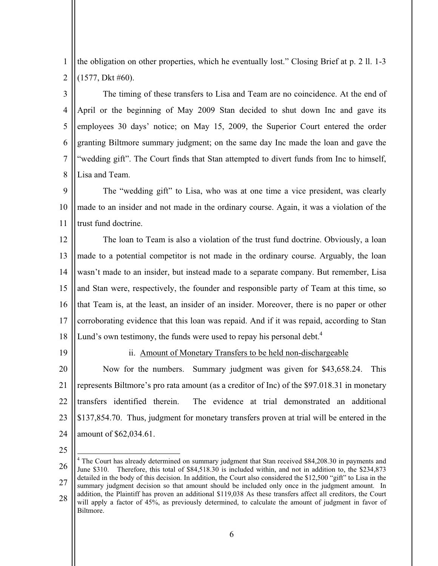1 2 the obligation on other properties, which he eventually lost." Closing Brief at p. 2 ll. 1-3 (1577, Dkt #60).

3 4 5 6 7 8 The timing of these transfers to Lisa and Team are no coincidence. At the end of April or the beginning of May 2009 Stan decided to shut down Inc and gave its employees 30 days' notice; on May 15, 2009, the Superior Court entered the order granting Biltmore summary judgment; on the same day Inc made the loan and gave the "wedding gift". The Court finds that Stan attempted to divert funds from Inc to himself, Lisa and Team.

 $\mathbf Q$ 10 11 The "wedding gift" to Lisa, who was at one time a vice president, was clearly made to an insider and not made in the ordinary course. Again, it was a violation of the trust fund doctrine.

12 13 14 15 16 17 18 The loan to Team is also a violation of the trust fund doctrine. Obviously, a loan made to a potential competitor is not made in the ordinary course. Arguably, the loan wasn't made to an insider, but instead made to a separate company. But remember, Lisa and Stan were, respectively, the founder and responsible party of Team at this time, so that Team is, at the least, an insider of an insider. Moreover, there is no paper or other corroborating evidence that this loan was repaid. And if it was repaid, according to Stan Lund's own testimony, the funds were used to repay his personal debt.<sup>4</sup>

19

ii. Amount of Monetary Transfers to be held non-dischargeable

20 21 22 23 24 Now for the numbers. Summary judgment was given for \$43,658.24. This represents Biltmore's pro rata amount (as a creditor of Inc) of the \$97.018.31 in monetary transfers identified therein. The evidence at trial demonstrated an additional \$137,854.70. Thus, judgment for monetary transfers proven at trial will be entered in the amount of \$62,034.61.

25

 $\overline{a}$ 

<sup>26</sup> 27 28 <sup>4</sup> The Court has already determined on summary judgment that Stan received \$84,208.30 in payments and June \$310. Therefore, this total of \$84,518.30 is included within, and not in addition to, the \$234,873 detailed in the body of this decision. In addition, the Court also considered the \$12,500 "gift" to Lisa in the summary judgment decision so that amount should be included only once in the judgment amount. In addition, the Plaintiff has proven an additional \$119,038 As these transfers affect all creditors, the Court will apply a factor of 45%, as previously determined, to calculate the amount of judgment in favor of Biltmore.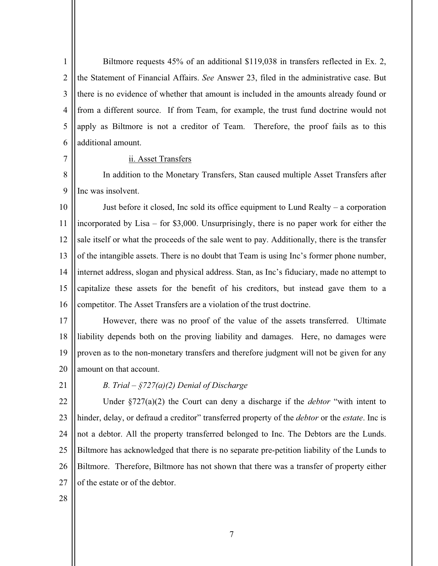1  $\overline{2}$ 3 4 5 6 Biltmore requests 45% of an additional \$119,038 in transfers reflected in Ex. 2, the Statement of Financial Affairs. *See* Answer 23, filed in the administrative case. But there is no evidence of whether that amount is included in the amounts already found or from a different source. If from Team, for example, the trust fund doctrine would not apply as Biltmore is not a creditor of Team. Therefore, the proof fails as to this additional amount.

## ii. Asset Transfers

8 9 In addition to the Monetary Transfers, Stan caused multiple Asset Transfers after Inc was insolvent.

10 11 12 13 14 15 16 Just before it closed, Inc sold its office equipment to Lund Realty – a corporation incorporated by Lisa – for \$3,000. Unsurprisingly, there is no paper work for either the sale itself or what the proceeds of the sale went to pay. Additionally, there is the transfer of the intangible assets. There is no doubt that Team is using Inc's former phone number, internet address, slogan and physical address. Stan, as Inc's fiduciary, made no attempt to capitalize these assets for the benefit of his creditors, but instead gave them to a competitor. The Asset Transfers are a violation of the trust doctrine.

17 18 19 20 However, there was no proof of the value of the assets transferred. Ultimate liability depends both on the proving liability and damages. Here, no damages were proven as to the non-monetary transfers and therefore judgment will not be given for any amount on that account.

21

7

# *B. Trial – §727(a)(2) Denial of Discharge*

22 23 24 25 26 27 Under §727(a)(2) the Court can deny a discharge if the *debtor* "with intent to hinder, delay, or defraud a creditor" transferred property of the *debtor* or the *estate*. Inc is not a debtor. All the property transferred belonged to Inc. The Debtors are the Lunds. Biltmore has acknowledged that there is no separate pre-petition liability of the Lunds to Biltmore. Therefore, Biltmore has not shown that there was a transfer of property either of the estate or of the debtor.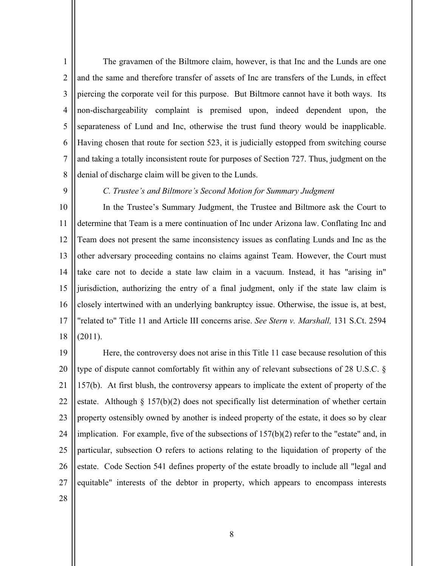1  $\overline{2}$ 3 4 5 6 7 8 The gravamen of the Biltmore claim, however, is that Inc and the Lunds are one and the same and therefore transfer of assets of Inc are transfers of the Lunds, in effect piercing the corporate veil for this purpose. But Biltmore cannot have it both ways. Its non-dischargeability complaint is premised upon, indeed dependent upon, the separateness of Lund and Inc, otherwise the trust fund theory would be inapplicable. Having chosen that route for section 523, it is judicially estopped from switching course and taking a totally inconsistent route for purposes of Section 727. Thus, judgment on the denial of discharge claim will be given to the Lunds.

9

 *C. Trustee's and Biltmore's Second Motion for Summary Judgment*

10 11 12 13 14 15 16 17 18 In the Trustee's Summary Judgment, the Trustee and Biltmore ask the Court to determine that Team is a mere continuation of Inc under Arizona law. Conflating Inc and Team does not present the same inconsistency issues as conflating Lunds and Inc as the other adversary proceeding contains no claims against Team. However, the Court must take care not to decide a state law claim in a vacuum. Instead, it has "arising in" jurisdiction, authorizing the entry of a final judgment, only if the state law claim is closely intertwined with an underlying bankruptcy issue. Otherwise, the issue is, at best, "related to" Title 11 and Article III concerns arise. *See Stern v. Marshall,* 131 S.Ct. 2594 (2011).

19 20 21 22 23 24 25 26 27 Here, the controversy does not arise in this Title 11 case because resolution of this type of dispute cannot comfortably fit within any of relevant subsections of 28 U.S.C. § 157(b). At first blush, the controversy appears to implicate the extent of property of the estate. Although § 157(b)(2) does not specifically list determination of whether certain property ostensibly owned by another is indeed property of the estate, it does so by clear implication. For example, five of the subsections of  $157(b)(2)$  refer to the "estate" and, in particular, subsection O refers to actions relating to the liquidation of property of the estate. Code Section 541 defines property of the estate broadly to include all "legal and equitable" interests of the debtor in property, which appears to encompass interests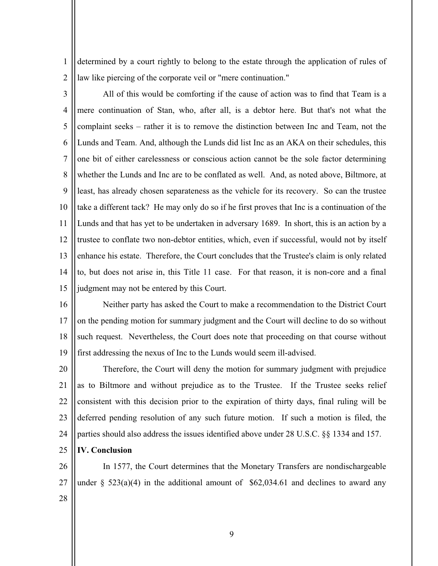1 2 determined by a court rightly to belong to the estate through the application of rules of law like piercing of the corporate veil or "mere continuation."

3 4 5 6 7 8 9 10 11 12 13 14 15 All of this would be comforting if the cause of action was to find that Team is a mere continuation of Stan, who, after all, is a debtor here. But that's not what the complaint seeks – rather it is to remove the distinction between Inc and Team, not the Lunds and Team. And, although the Lunds did list Inc as an AKA on their schedules, this one bit of either carelessness or conscious action cannot be the sole factor determining whether the Lunds and Inc are to be conflated as well. And, as noted above, Biltmore, at least, has already chosen separateness as the vehicle for its recovery. So can the trustee take a different tack? He may only do so if he first proves that Inc is a continuation of the Lunds and that has yet to be undertaken in adversary 1689. In short, this is an action by a trustee to conflate two non-debtor entities, which, even if successful, would not by itself enhance his estate. Therefore, the Court concludes that the Trustee's claim is only related to, but does not arise in, this Title 11 case. For that reason, it is non-core and a final judgment may not be entered by this Court.

16 17 18 19 Neither party has asked the Court to make a recommendation to the District Court on the pending motion for summary judgment and the Court will decline to do so without such request. Nevertheless, the Court does note that proceeding on that course without first addressing the nexus of Inc to the Lunds would seem ill-advised.

20 21 22 23 24 Therefore, the Court will deny the motion for summary judgment with prejudice as to Biltmore and without prejudice as to the Trustee. If the Trustee seeks relief consistent with this decision prior to the expiration of thirty days, final ruling will be deferred pending resolution of any such future motion. If such a motion is filed, the parties should also address the issues identified above under 28 U.S.C. §§ 1334 and 157.

- 25 **IV. Conclusion**
- 26

27 In 1577, the Court determines that the Monetary Transfers are nondischargeable under  $\S$  523(a)(4) in the additional amount of \$62,034.61 and declines to award any